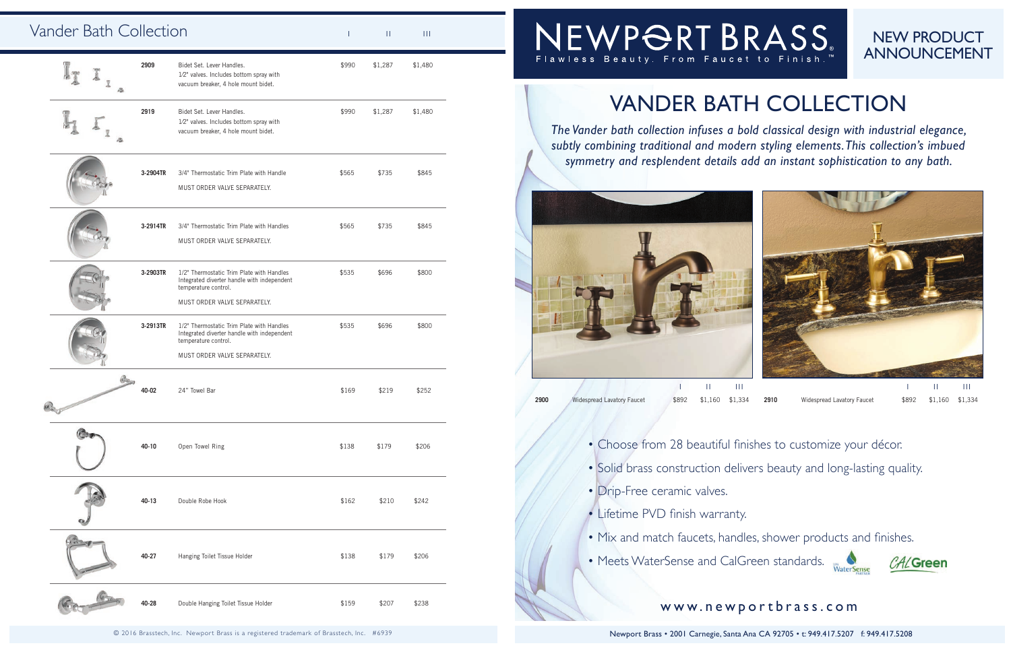### NEW PRODUCT ANNOUNCEMENT

**2910 Widespread Lavatory Faucet** \$892 \$1,160 \$1,334

# VANDER BATH COLLECTION

*The Vander bath collection infuses a bold classical design with industrial elegance, subtly combining traditional and modern styling elements. This collection's imbued symmetry and resplendent details add an instant sophistication to any bath.* 

• Choose from 28 beautiful finishes to customize your décor. • Solid brass construction delivers beauty and long-lasting quality.

• Mix and match faucets, handles, shower products and finishes.



*CAL* Green

Newport Brass • 2001 Carnegie, Santa Ana CA 92705 • t: 949.417.5207 f: 949.417.5208

### www.newportbrass.com

- 
- 
- Drip-Free ceramic valves.
- Lifetime PVD finish warranty.
- 
- Meets WaterSense and CalGreen standards.

© 2016 Brasstech, Inc. Newport Brass is a registered trademark of Brasstech, Inc. #6939

**4207 12-238 Pouble Hanging Toilet Tissue Holder \$159 \$207 \$238** 



### Vander Bath Collection and International International International International International International

| А | 2909      | Bidet Set. Lever Handles.<br>1/2" valves. Includes bottom spray with<br>vacuum breaker, 4 hole mount bidet.                                      | \$990 | \$1,287 | \$1,480 |  |
|---|-----------|--------------------------------------------------------------------------------------------------------------------------------------------------|-------|---------|---------|--|
|   | 2919      | Bidet Set. Lever Handles.<br>1/2" valves. Includes bottom spray with<br>vacuum breaker, 4 hole mount bidet.                                      | \$990 | \$1,287 | \$1,480 |  |
|   | 3-2904TR  | 3/4" Thermostatic Trim Plate with Handle<br>MUST ORDER VALVE SEPARATELY.                                                                         | \$565 | \$735   | \$845   |  |
|   | 3-2914TR  | 3/4" Thermostatic Trim Plate with Handles<br>MUST ORDER VALVE SEPARATELY.                                                                        | \$565 | \$735   | \$845   |  |
|   | 3-2903TR  | 1/2" Thermostatic Trim Plate with Handles<br>Integrated diverter handle with independent<br>temperature control.<br>MUST ORDER VALVE SEPARATELY. | \$535 | \$696   | \$800   |  |
|   | 3-2913TR  | 1/2" Thermostatic Trim Plate with Handles<br>Integrated diverter handle with independent<br>temperature control.<br>MUST ORDER VALVE SEPARATELY. | \$535 | \$696   | \$800   |  |
|   | 40-02     | 24" Towel Bar                                                                                                                                    | \$169 | \$219   | \$252   |  |
|   | $40 - 10$ | Open Towel Ring                                                                                                                                  | \$138 | \$179   | \$206   |  |
|   | $40 - 13$ | Double Robe Hook                                                                                                                                 | \$162 | \$210   | \$242   |  |
|   | 40-27     | Hanging Toilet Tissue Holder                                                                                                                     | \$138 | \$179   | \$206   |  |

NEWPORT BRASS



**2900 Widespread Lavatory Faucet** \$892 \$1,160 \$1,334